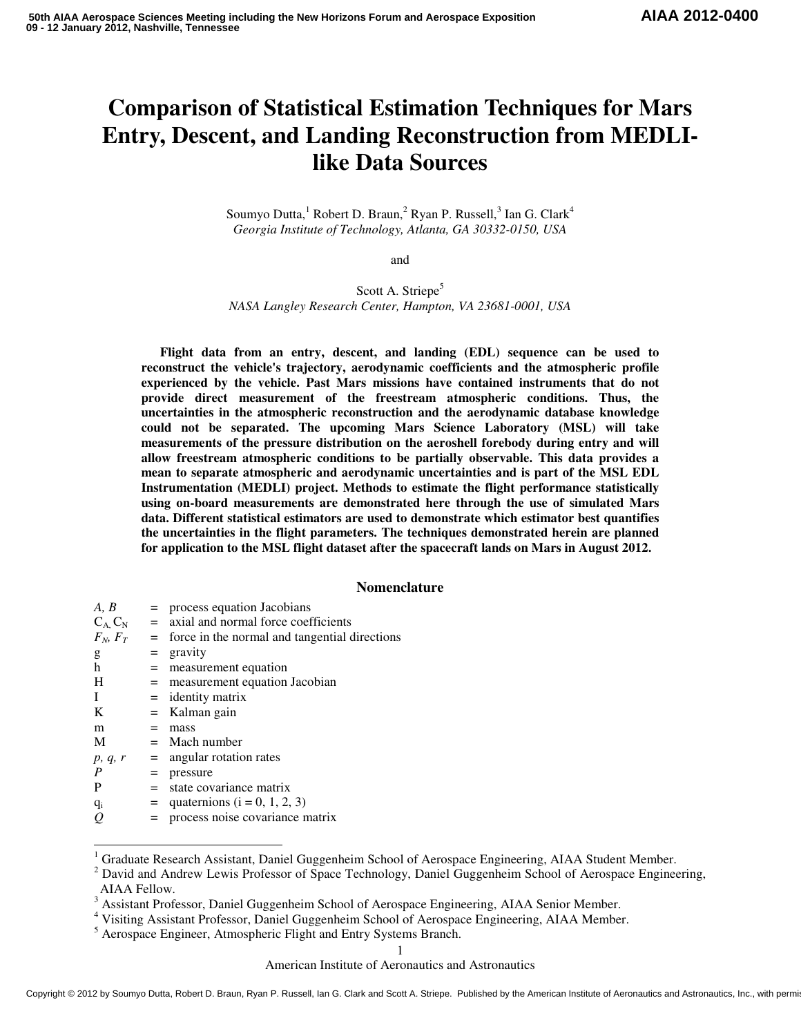# **Comparison of Statistical Estimation Techniques for Mars Entry, Descent, and Landing Reconstruction from MEDLIlike Data Sources**

Soumyo Dutta, <sup>1</sup> Robert D. Braun, <sup>2</sup> Ryan P. Russell, <sup>3</sup> Ian G. Clark<sup>4</sup> *Georgia Institute of Technology, Atlanta, GA 30332-0150, USA* 

and

Scott A. Striepe<sup>5</sup> *NASA Langley Research Center, Hampton, VA 23681-0001, USA* 

**Flight data from an entry, descent, and landing (EDL) sequence can be used to reconstruct the vehicle's trajectory, aerodynamic coefficients and the atmospheric profile experienced by the vehicle. Past Mars missions have contained instruments that do not provide direct measurement of the freestream atmospheric conditions. Thus, the uncertainties in the atmospheric reconstruction and the aerodynamic database knowledge could not be separated. The upcoming Mars Science Laboratory (MSL) will take measurements of the pressure distribution on the aeroshell forebody during entry and will allow freestream atmospheric conditions to be partially observable. This data provides a mean to separate atmospheric and aerodynamic uncertainties and is part of the MSL EDL Instrumentation (MEDLI) project. Methods to estimate the flight performance statistically using on-board measurements are demonstrated here through the use of simulated Mars data. Different statistical estimators are used to demonstrate which estimator best quantifies the uncertainties in the flight parameters. The techniques demonstrated herein are planned for application to the MSL flight dataset after the spacecraft lands on Mars in August 2012.** 

#### **Nomenclature**

| A, B          |     | $=$ process equation Jacobians                                |
|---------------|-----|---------------------------------------------------------------|
| $C_A$ , $C_N$ |     | $=$ axial and normal force coefficients                       |
|               |     | $F_N$ , $F_T$ = force in the normal and tangential directions |
| g             |     | $=$ gravity                                                   |
| h             | $=$ | measurement equation                                          |
| Н             |     | = measurement equation Jacobian                               |
| L             |     | $=$ identity matrix                                           |
| K             | $=$ | Kalman gain                                                   |
| m             |     | mass                                                          |
| М             |     | $=$ Mach number                                               |
| p, q, r       |     | $=$ angular rotation rates                                    |
| P             | $=$ | pressure                                                      |
| P             | $=$ | state covariance matrix                                       |
| $q_i$         | $=$ | quaternions $(i = 0, 1, 2, 3)$                                |
|               |     | $=$ process noise covariance matrix                           |

1<br><sup>1</sup> Graduate Research Assistant, Daniel Guggenheim School of Aerospace Engineering, AIAA Student Member.

<sup>2</sup> David and Andrew Lewis Professor of Space Technology, Daniel Guggenheim School of Aerospace Engineering, AIAA Fellow.

<sup>5</sup> Aerospace Engineer, Atmospheric Flight and Entry Systems Branch.

1

<sup>&</sup>lt;sup>3</sup> Assistant Professor, Daniel Guggenheim School of Aerospace Engineering, AIAA Senior Member.

<sup>&</sup>lt;sup>4</sup> Visiting Assistant Professor, Daniel Guggenheim School of Aerospace Engineering, AIAA Member.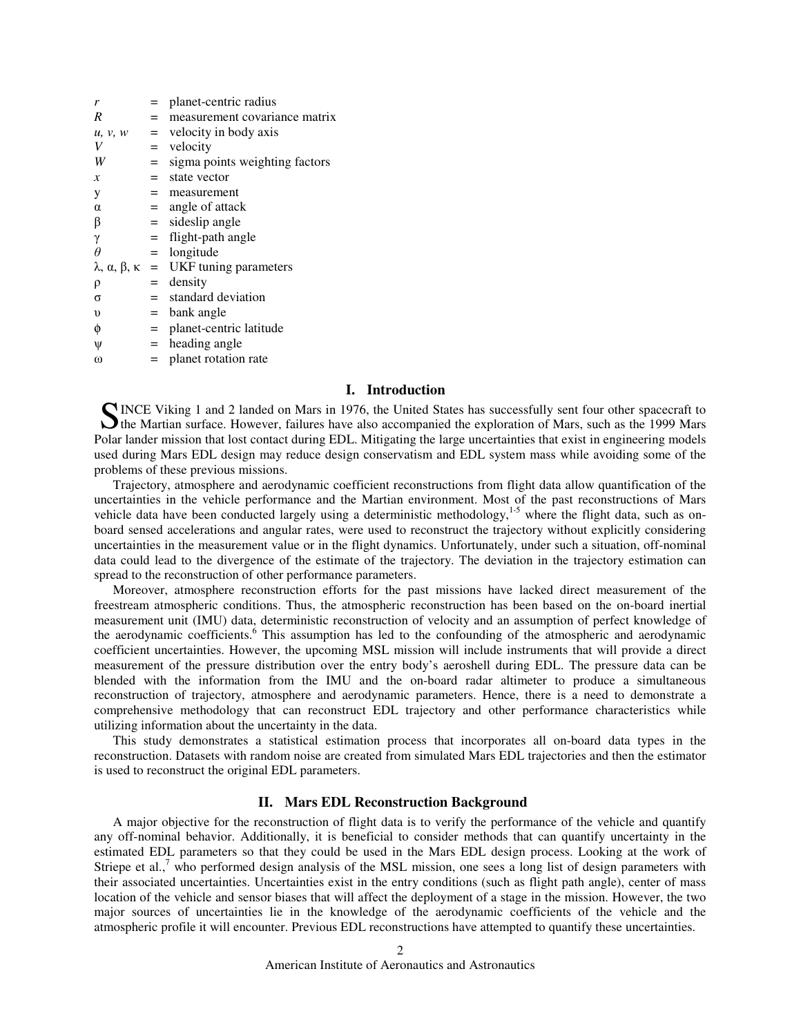| r             | $=$ | planet-centric radius                                             |
|---------------|-----|-------------------------------------------------------------------|
| R             | $=$ | measurement covariance matrix                                     |
| u, v, w       |     | $=$ velocity in body axis                                         |
| V             |     | $=$ velocity                                                      |
| W             | $=$ | sigma points weighting factors                                    |
| $\mathcal{X}$ |     | $=$ state vector                                                  |
| y             |     | $=$ measurement                                                   |
| α             |     | $=$ angle of attack                                               |
| β             |     | $=$ sideslip angle                                                |
| γ             |     | $=$ flight-path angle                                             |
| $\theta$      |     | $=$ longitude                                                     |
|               |     | $\lambda$ , $\alpha$ , $\beta$ , $\kappa$ = UKF tuning parameters |
| ρ             |     | $=$ density                                                       |
| σ             |     | $=$ standard deviation                                            |
| $\upsilon$    | $=$ | bank angle                                                        |
| φ             | $=$ | planet-centric latitude                                           |
| ψ             | $=$ | heading angle                                                     |
| ω             |     | = planet rotation rate                                            |

## **I. Introduction**

SINCE Viking 1 and 2 landed on Mars in 1976, the United States has successfully sent four other spacecraft to the Martian surface. However, failures have also accompanied the exploration of Mars, such as the 1999 Mars The Martian surface. However, failures have also accompanied the exploration of Mars, such as the 1999 Mars Polar lander mission that lost contact during EDL. Mitigating the large uncertainties that exist in engineering models used during Mars EDL design may reduce design conservatism and EDL system mass while avoiding some of the problems of these previous missions.

Trajectory, atmosphere and aerodynamic coefficient reconstructions from flight data allow quantification of the uncertainties in the vehicle performance and the Martian environment. Most of the past reconstructions of Mars vehicle data have been conducted largely using a deterministic methodology,<sup>1-5</sup> where the flight data, such as onboard sensed accelerations and angular rates, were used to reconstruct the trajectory without explicitly considering uncertainties in the measurement value or in the flight dynamics. Unfortunately, under such a situation, off-nominal data could lead to the divergence of the estimate of the trajectory. The deviation in the trajectory estimation can spread to the reconstruction of other performance parameters.

Moreover, atmosphere reconstruction efforts for the past missions have lacked direct measurement of the freestream atmospheric conditions. Thus, the atmospheric reconstruction has been based on the on-board inertial measurement unit (IMU) data, deterministic reconstruction of velocity and an assumption of perfect knowledge of the aerodynamic coefficients.<sup>6</sup> This assumption has led to the confounding of the atmospheric and aerodynamic coefficient uncertainties. However, the upcoming MSL mission will include instruments that will provide a direct measurement of the pressure distribution over the entry body's aeroshell during EDL. The pressure data can be blended with the information from the IMU and the on-board radar altimeter to produce a simultaneous reconstruction of trajectory, atmosphere and aerodynamic parameters. Hence, there is a need to demonstrate a comprehensive methodology that can reconstruct EDL trajectory and other performance characteristics while utilizing information about the uncertainty in the data.

This study demonstrates a statistical estimation process that incorporates all on-board data types in the reconstruction. Datasets with random noise are created from simulated Mars EDL trajectories and then the estimator is used to reconstruct the original EDL parameters.

### **II. Mars EDL Reconstruction Background**

A major objective for the reconstruction of flight data is to verify the performance of the vehicle and quantify any off-nominal behavior. Additionally, it is beneficial to consider methods that can quantify uncertainty in the estimated EDL parameters so that they could be used in the Mars EDL design process. Looking at the work of Striepe et al., $7$  who performed design analysis of the MSL mission, one sees a long list of design parameters with their associated uncertainties. Uncertainties exist in the entry conditions (such as flight path angle), center of mass location of the vehicle and sensor biases that will affect the deployment of a stage in the mission. However, the two major sources of uncertainties lie in the knowledge of the aerodynamic coefficients of the vehicle and the atmospheric profile it will encounter. Previous EDL reconstructions have attempted to quantify these uncertainties.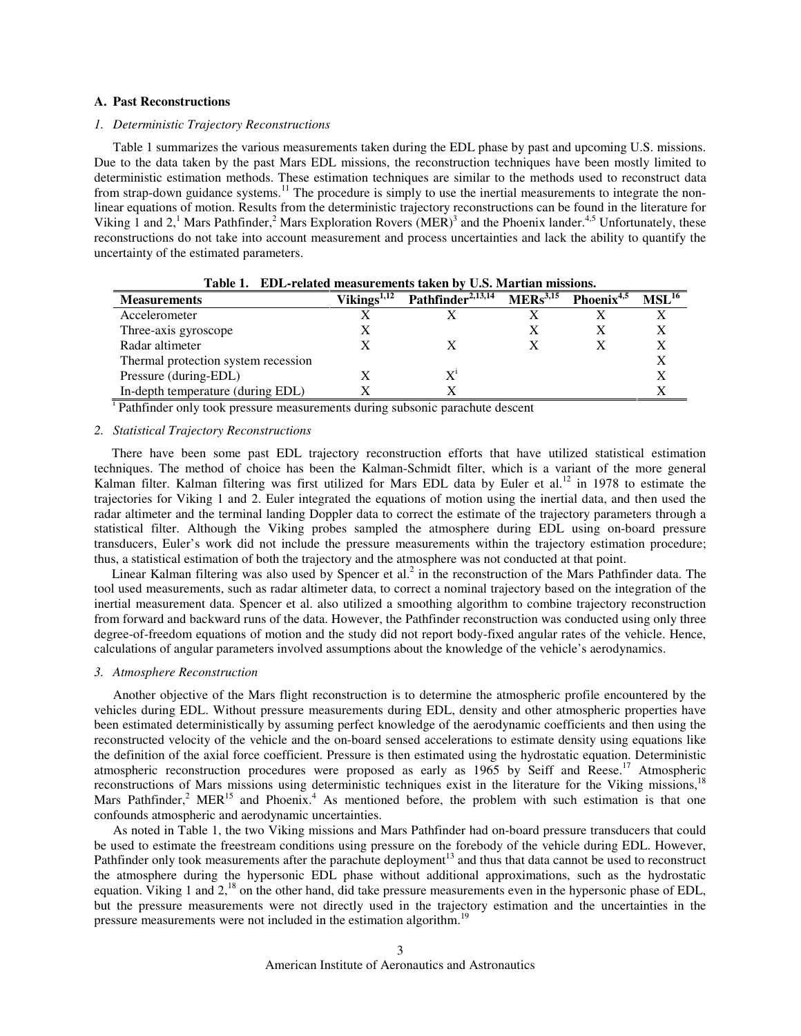#### **A. Past Reconstructions**

#### *1. Deterministic Trajectory Reconstructions*

Table 1 summarizes the various measurements taken during the EDL phase by past and upcoming U.S. missions. Due to the data taken by the past Mars EDL missions, the reconstruction techniques have been mostly limited to deterministic estimation methods. These estimation techniques are similar to the methods used to reconstruct data from strap-down guidance systems.<sup>11</sup> The procedure is simply to use the inertial measurements to integrate the nonlinear equations of motion. Results from the deterministic trajectory reconstructions can be found in the literature for Viking 1 and 2,<sup>1</sup> Mars Pathfinder,<sup>2</sup> Mars Exploration Rovers (MER)<sup>3</sup> and the Phoenix lander.<sup>4,5</sup> Unfortunately, these reconstructions do not take into account measurement and process uncertainties and lack the ability to quantify the uncertainty of the estimated parameters.

| <b>Measurements</b>                 | Vikings <sup>1,12</sup> | Pathfinder <sup>2,13,14</sup> | MERs <sup>3,15</sup> | Phoenix <sup>4,5</sup> | $MSL^{16}$ |
|-------------------------------------|-------------------------|-------------------------------|----------------------|------------------------|------------|
| Accelerometer                       |                         |                               |                      |                        |            |
| Three-axis gyroscope                |                         |                               |                      |                        |            |
| Radar altimeter                     |                         |                               |                      |                        |            |
| Thermal protection system recession |                         |                               |                      |                        |            |
| Pressure (during-EDL)               |                         | Y'                            |                      |                        |            |
| In-depth temperature (during EDL)   |                         |                               |                      |                        |            |

**Table 1. EDL-related measurements taken by U.S. Martian missions.** 

<sup>i</sup> Pathfinder only took pressure measurements during subsonic parachute descent

#### *2. Statistical Trajectory Reconstructions*

There have been some past EDL trajectory reconstruction efforts that have utilized statistical estimation techniques. The method of choice has been the Kalman-Schmidt filter, which is a variant of the more general Kalman filter. Kalman filtering was first utilized for Mars EDL data by Euler et al.<sup>12</sup> in 1978 to estimate the trajectories for Viking 1 and 2. Euler integrated the equations of motion using the inertial data, and then used the radar altimeter and the terminal landing Doppler data to correct the estimate of the trajectory parameters through a statistical filter. Although the Viking probes sampled the atmosphere during EDL using on-board pressure transducers, Euler's work did not include the pressure measurements within the trajectory estimation procedure; thus, a statistical estimation of both the trajectory and the atmosphere was not conducted at that point.

Linear Kalman filtering was also used by Spencer et al.<sup>2</sup> in the reconstruction of the Mars Pathfinder data. The tool used measurements, such as radar altimeter data, to correct a nominal trajectory based on the integration of the inertial measurement data. Spencer et al. also utilized a smoothing algorithm to combine trajectory reconstruction from forward and backward runs of the data. However, the Pathfinder reconstruction was conducted using only three degree-of-freedom equations of motion and the study did not report body-fixed angular rates of the vehicle. Hence, calculations of angular parameters involved assumptions about the knowledge of the vehicle's aerodynamics.

### *3. Atmosphere Reconstruction*

Another objective of the Mars flight reconstruction is to determine the atmospheric profile encountered by the vehicles during EDL. Without pressure measurements during EDL, density and other atmospheric properties have been estimated deterministically by assuming perfect knowledge of the aerodynamic coefficients and then using the reconstructed velocity of the vehicle and the on-board sensed accelerations to estimate density using equations like the definition of the axial force coefficient. Pressure is then estimated using the hydrostatic equation. Deterministic atmospheric reconstruction procedures were proposed as early as 1965 by Seiff and Reese.<sup>17</sup> Atmospheric reconstructions of Mars missions using deterministic techniques exist in the literature for the Viking missions,<sup>18</sup> Mars Pathfinder,<sup>2</sup> MER<sup>15</sup> and Phoenix.<sup>4</sup> As mentioned before, the problem with such estimation is that one confounds atmospheric and aerodynamic uncertainties.

As noted in Table 1, the two Viking missions and Mars Pathfinder had on-board pressure transducers that could be used to estimate the freestream conditions using pressure on the forebody of the vehicle during EDL. However, Pathfinder only took measurements after the parachute deployment<sup>13</sup> and thus that data cannot be used to reconstruct the atmosphere during the hypersonic EDL phase without additional approximations, such as the hydrostatic equation. Viking 1 and 2,<sup>18</sup> on the other hand, did take pressure measurements even in the hypersonic phase of EDL, but the pressure measurements were not directly used in the trajectory estimation and the uncertainties in the pressure measurements were not included in the estimation algorithm.<sup>1</sup>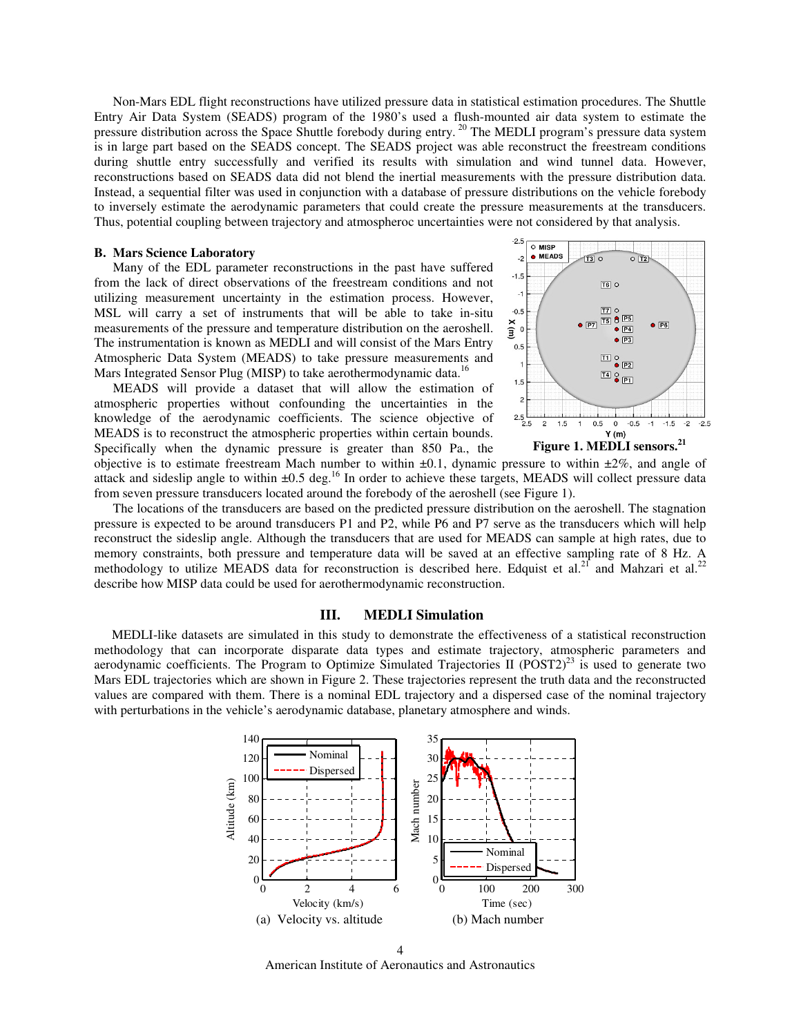Non-Mars EDL flight reconstructions have utilized pressure data in statistical estimation procedures. The Shuttle Entry Air Data System (SEADS) program of the 1980's used a flush-mounted air data system to estimate the pressure distribution across the Space Shuttle forebody during entry.<sup>20</sup> The MEDLI program's pressure data system is in large part based on the SEADS concept. The SEADS project was able reconstruct the freestream conditions during shuttle entry successfully and verified its results with simulation and wind tunnel data. However, reconstructions based on SEADS data did not blend the inertial measurements with the pressure distribution data. Instead, a sequential filter was used in conjunction with a database of pressure distributions on the vehicle forebody to inversely estimate the aerodynamic parameters that could create the pressure measurements at the transducers. Thus, potential coupling between trajectory and atmospheroc uncertainties were not considered by that analysis.

#### **B. Mars Science Laboratory**

Many of the EDL parameter reconstructions in the past have suffered from the lack of direct observations of the freestream conditions and not utilizing measurement uncertainty in the estimation process. However, MSL will carry a set of instruments that will be able to take in-situ measurements of the pressure and temperature distribution on the aeroshell. The instrumentation is known as MEDLI and will consist of the Mars Entry Atmospheric Data System (MEADS) to take pressure measurements and Mars Integrated Sensor Plug (MISP) to take aerothermodynamic data.<sup>16</sup>

MEADS will provide a dataset that will allow the estimation of atmospheric properties without confounding the uncertainties in the knowledge of the aerodynamic coefficients. The science objective of MEADS is to reconstruct the atmospheric properties within certain bounds. Specifically when the dynamic pressure is greater than 850 Pa., the



objective is to estimate freestream Mach number to within  $\pm 0.1$ , dynamic pressure to within  $\pm 2\%$ , and angle of attack and sideslip angle to within  $\pm 0.5$  deg.<sup>16</sup> In order to achieve these targets, MEADS will collect pressure data from seven pressure transducers located around the forebody of the aeroshell (see Figure 1).

 The locations of the transducers are based on the predicted pressure distribution on the aeroshell. The stagnation pressure is expected to be around transducers P1 and P2, while P6 and P7 serve as the transducers which will help reconstruct the sideslip angle. Although the transducers that are used for MEADS can sample at high rates, due to memory constraints, both pressure and temperature data will be saved at an effective sampling rate of 8 Hz. A methodology to utilize MEADS data for reconstruction is described here. Edquist et al.<sup>21</sup> and Mahzari et al.<sup>22</sup> describe how MISP data could be used for aerothermodynamic reconstruction.

#### **III. MEDLI Simulation**

MEDLI-like datasets are simulated in this study to demonstrate the effectiveness of a statistical reconstruction methodology that can incorporate disparate data types and estimate trajectory, atmospheric parameters and aerodynamic coefficients. The Program to Optimize Simulated Trajectories II  $(POST2)^{23}$  is used to generate two Mars EDL trajectories which are shown in Figure 2. These trajectories represent the truth data and the reconstructed values are compared with them. There is a nominal EDL trajectory and a dispersed case of the nominal trajectory with perturbations in the vehicle's aerodynamic database, planetary atmosphere and winds.



American Institute of Aeronautics and Astronautics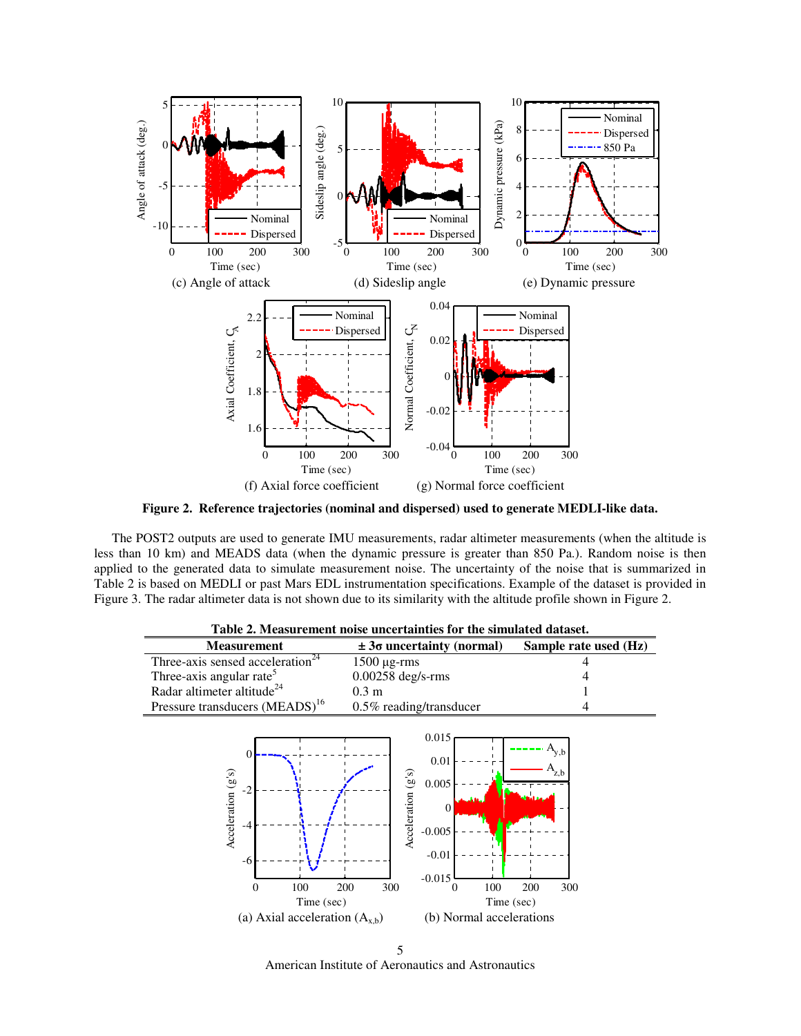

**Figure 2. Reference trajectories (nominal and dispersed) used to generate MEDLI-like data.** 

The POST2 outputs are used to generate IMU measurements, radar altimeter measurements (when the altitude is less than 10 km) and MEADS data (when the dynamic pressure is greater than 850 Pa.). Random noise is then applied to the generated data to simulate measurement noise. The uncertainty of the noise that is summarized in Table 2 is based on MEDLI or past Mars EDL instrumentation specifications. Example of the dataset is provided in Figure 3. The radar altimeter data is not shown due to its similarity with the altitude profile shown in Figure 2.

| Table 2. Measurement noise uncertainties for the simulated dataset.                                          |                                                                                                                                         |                                              |  |  |  |
|--------------------------------------------------------------------------------------------------------------|-----------------------------------------------------------------------------------------------------------------------------------------|----------------------------------------------|--|--|--|
| <b>Measurement</b>                                                                                           | $\pm 3\sigma$ uncertainty (normal)                                                                                                      | Sample rate used (Hz)                        |  |  |  |
| Three-axis sensed acceleration <sup>24</sup>                                                                 | $1500 \mu$ g-rms                                                                                                                        |                                              |  |  |  |
| Three-axis angular rate <sup>5</sup>                                                                         | 0.00258 deg/s-rms                                                                                                                       |                                              |  |  |  |
| Radar altimeter altitude <sup>24</sup>                                                                       | $0.3 \text{ m}$                                                                                                                         |                                              |  |  |  |
| Pressure transducers (MEADS) <sup>16</sup>                                                                   | $0.5\%$ reading/transducer                                                                                                              |                                              |  |  |  |
| Acceleration (g's)<br>-6<br>200<br>$\overline{0}$<br>100<br>Time (sec)<br>(a) Axial acceleration $(A_{x,b})$ | 0.015<br>0.01<br>Acceleration $(g's)$<br>0.005<br>$\Omega$<br>$-0.005$<br>$-0.01$<br>$-0.015$<br>300<br>100<br>(b) Normal accelerations | $A_{y,b}$<br>z,b<br>200<br>300<br>Time (sec) |  |  |  |

American Institute of Aeronautics and Astronautics 5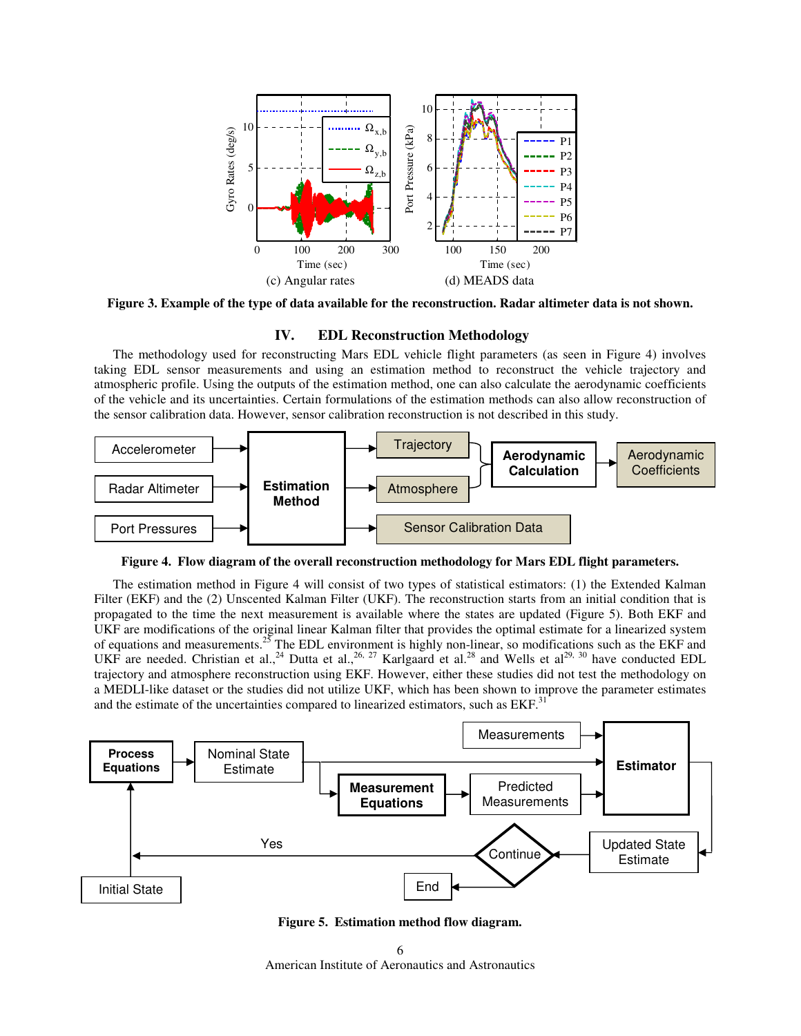

**Figure 3. Example of the type of data available for the reconstruction. Radar altimeter data is not shown.** 

#### **IV. EDL Reconstruction Methodology**

The methodology used for reconstructing Mars EDL vehicle flight parameters (as seen in Figure 4) involves taking EDL sensor measurements and using an estimation method to reconstruct the vehicle trajectory and atmospheric profile. Using the outputs of the estimation method, one can also calculate the aerodynamic coefficients of the vehicle and its uncertainties. Certain formulations of the estimation methods can also allow reconstruction of the sensor calibration data. However, sensor calibration reconstruction is not described in this study.



**Figure 4. Flow diagram of the overall reconstruction methodology for Mars EDL flight parameters.**

The estimation method in Figure 4 will consist of two types of statistical estimators: (1) the Extended Kalman Filter (EKF) and the (2) Unscented Kalman Filter (UKF). The reconstruction starts from an initial condition that is propagated to the time the next measurement is available where the states are updated (Figure 5). Both EKF and UKF are modifications of the original linear Kalman filter that provides the optimal estimate for a linearized system of equations and measurements.<sup>25</sup> The EDL environment is highly non-linear, so modifications such as the EKF and UKF are needed. Christian et al.,<sup>24</sup> Dutta et al.,<sup>26, 27</sup> Karlgaard et al.<sup>28</sup> and Wells et al<sup>29, 30</sup> have conducted EDL trajectory and atmosphere reconstruction using EKF. However, either these studies did not test the methodology on a MEDLI-like dataset or the studies did not utilize UKF, which has been shown to improve the parameter estimates and the estimate of the uncertainties compared to linearized estimators, such as EKF.<sup>31</sup>



**Figure 5. Estimation method flow diagram.**

American Institute of Aeronautics and Astronautics 6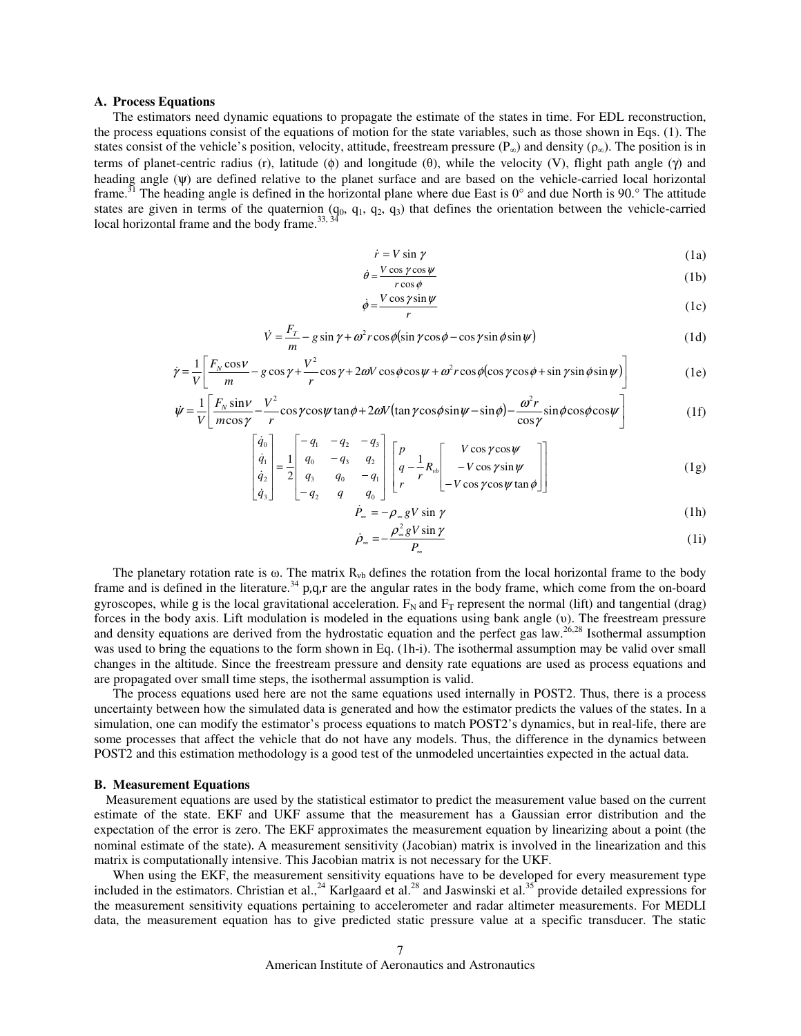#### **A. Process Equations**

The estimators need dynamic equations to propagate the estimate of the states in time. For EDL reconstruction, the process equations consist of the equations of motion for the state variables, such as those shown in Eqs. (1). The states consist of the vehicle's position, velocity, attitude, freestream pressure ( $P_{\infty}$ ) and density ( $\rho_{\infty}$ ). The position is in terms of planet-centric radius (r), latitude (φ) and longitude (θ), while the velocity (V), flight path angle (γ) and heading angle (ψ) are defined relative to the planet surface and are based on the vehicle-carried local horizontal frame.<sup>31</sup> The heading angle is defined in the horizontal plane where due East is  $0^{\circ}$  and due North is  $90^{\circ}$ . The attitude states are given in terms of the quaternion  $(q_0, q_1, q_2, q_3)$  that defines the orientation between the vehicle-carried local horizontal frame and the body frame.<sup>33, 34</sup>

$$
\dot{r} = V \sin \gamma \tag{1a}
$$

$$
\dot{\theta} = \frac{V \cos \gamma \cos \gamma}{r \cos \phi} \tag{1b}
$$

$$
\dot{\phi} = \frac{V \cos \gamma \sin \psi}{r}
$$
 (1c)

$$
\dot{V} = \frac{F_T}{m} - g \sin \gamma + \omega^2 r \cos \phi (\sin \gamma \cos \phi - \cos \gamma \sin \phi \sin \psi)
$$
 (1d)

$$
\dot{\gamma} = \frac{1}{V} \left[ \frac{F_N \cos \nu}{m} - g \cos \gamma + \frac{V^2}{r} \cos \gamma + 2\omega V \cos \phi \cos \psi + \omega^2 r \cos \phi (\cos \gamma \cos \phi + \sin \gamma \sin \phi \sin \psi) \right]
$$
(1e)

$$
\dot{\psi} = \frac{1}{V} \left[ \frac{F_N \sin \nu}{m \cos \gamma} - \frac{V^2}{r} \cos \gamma \cos \psi \tan \phi + 2\omega V (\tan \gamma \cos \phi \sin \psi - \sin \phi) - \frac{\omega^2 r}{\cos \gamma} \sin \phi \cos \phi \cos \psi \right]
$$
(1f)

$$
\begin{bmatrix} \dot{q}_0 \\ \dot{q}_1 \\ \dot{q}_2 \\ \dot{q}_3 \end{bmatrix} = \frac{1}{2} \begin{bmatrix} -q_1 & -q_2 & -q_3 \\ q_0 & -q_3 & q_2 \\ q_3 & q_0 & -q_1 \\ -q_2 & q & q_0 \end{bmatrix} \begin{bmatrix} p \\ q - \frac{1}{r} R_{\nu b} \\ r \end{bmatrix} \begin{bmatrix} V \cos \gamma \cos \psi \\ -V \cos \gamma \sin \psi \\ -V \cos \gamma \cos \psi \tan \phi \end{bmatrix}
$$
 (1g)

$$
\dot{P}_{\infty} = -\rho_{\infty} gV \sin \gamma \tag{1h}
$$

$$
\dot{\rho}_{\infty} = -\frac{\rho_{\infty}^2 g V \sin \gamma}{P_{\infty}} \tag{1i}
$$

The planetary rotation rate is  $\omega$ . The matrix R<sub>vb</sub> defines the rotation from the local horizontal frame to the body frame and is defined in the literature.<sup>34</sup> p,q,r are the angular rates in the body frame, which come from the on-board gyroscopes, while g is the local gravitational acceleration.  $F_N$  and  $F_T$  represent the normal (lift) and tangential (drag) forces in the body axis. Lift modulation is modeled in the equations using bank angle (υ). The freestream pressure and density equations are derived from the hydrostatic equation and the perfect gas law.<sup>26,28</sup> Isothermal assumption was used to bring the equations to the form shown in Eq. (1h-i). The isothermal assumption may be valid over small changes in the altitude. Since the freestream pressure and density rate equations are used as process equations and are propagated over small time steps, the isothermal assumption is valid.

The process equations used here are not the same equations used internally in POST2. Thus, there is a process uncertainty between how the simulated data is generated and how the estimator predicts the values of the states. In a simulation, one can modify the estimator's process equations to match POST2's dynamics, but in real-life, there are some processes that affect the vehicle that do not have any models. Thus, the difference in the dynamics between POST2 and this estimation methodology is a good test of the unmodeled uncertainties expected in the actual data.

#### **B. Measurement Equations**

Measurement equations are used by the statistical estimator to predict the measurement value based on the current estimate of the state. EKF and UKF assume that the measurement has a Gaussian error distribution and the expectation of the error is zero. The EKF approximates the measurement equation by linearizing about a point (the nominal estimate of the state). A measurement sensitivity (Jacobian) matrix is involved in the linearization and this matrix is computationally intensive. This Jacobian matrix is not necessary for the UKF.

When using the EKF, the measurement sensitivity equations have to be developed for every measurement type included in the estimators. Christian et al.,<sup>24</sup> Karlgaard et al.<sup>28</sup> and Jaswinski et al.<sup>35</sup> provide detailed expressions for the measurement sensitivity equations pertaining to accelerometer and radar altimeter measurements. For MEDLI data, the measurement equation has to give predicted static pressure value at a specific transducer. The static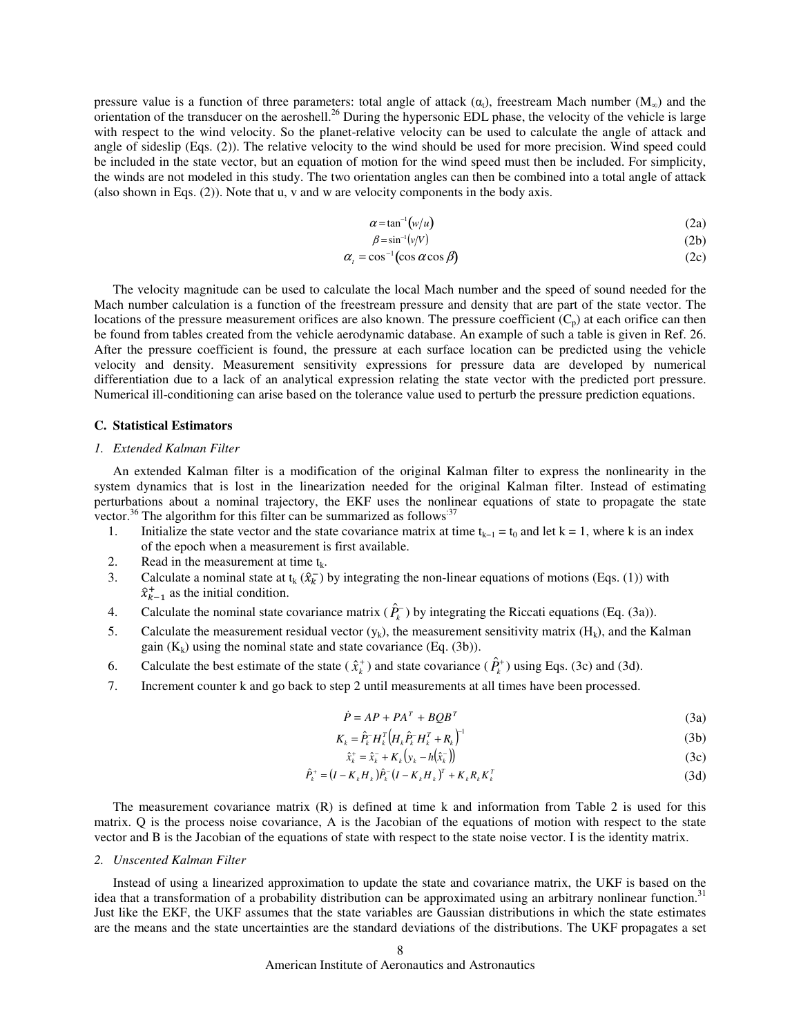pressure value is a function of three parameters: total angle of attack  $(\alpha_t)$ , freestream Mach number  $(M_\infty)$  and the orientation of the transducer on the aeroshell.<sup>26</sup> During the hypersonic EDL phase, the velocity of the vehicle is large with respect to the wind velocity. So the planet-relative velocity can be used to calculate the angle of attack and angle of sideslip (Eqs. (2)). The relative velocity to the wind should be used for more precision. Wind speed could be included in the state vector, but an equation of motion for the wind speed must then be included. For simplicity, the winds are not modeled in this study. The two orientation angles can then be combined into a total angle of attack (also shown in Eqs. (2)). Note that u, v and w are velocity components in the body axis.

$$
\alpha = \tan^{-1}(w/u) \tag{2a}
$$

$$
\beta = \sin^{-1}(v/V) \tag{2b}
$$

$$
\alpha_t = \cos^{-1}(\cos \alpha \cos \beta) \tag{2c}
$$

The velocity magnitude can be used to calculate the local Mach number and the speed of sound needed for the Mach number calculation is a function of the freestream pressure and density that are part of the state vector. The locations of the pressure measurement orifices are also known. The pressure coefficient  $(C_p)$  at each orifice can then be found from tables created from the vehicle aerodynamic database. An example of such a table is given in Ref. 26. After the pressure coefficient is found, the pressure at each surface location can be predicted using the vehicle velocity and density. Measurement sensitivity expressions for pressure data are developed by numerical differentiation due to a lack of an analytical expression relating the state vector with the predicted port pressure. Numerical ill-conditioning can arise based on the tolerance value used to perturb the pressure prediction equations.

### **C. Statistical Estimators**

#### *1. Extended Kalman Filter*

An extended Kalman filter is a modification of the original Kalman filter to express the nonlinearity in the system dynamics that is lost in the linearization needed for the original Kalman filter. Instead of estimating perturbations about a nominal trajectory, the EKF uses the nonlinear equations of state to propagate the state vector.<sup>36</sup> The algorithm for this filter can be summarized as follows<sup>:37</sup>

- 1. Initialize the state vector and the state covariance matrix at time  $t_{k-1} = t_0$  and let k = 1, where k is an index of the epoch when a measurement is first available.
- 2. Read in the measurement at time  $t_k$ .
- 3. Calculate a nominal state at  $t_k$  ( $\hat{x}_k$ ) by integrating the non-linear equations of motions (Eqs. (1)) with  $\hat{x}_{k-1}^+$  as the initial condition.
- 4. Calculate the nominal state covariance matrix  $(\hat{P}_k^+)$  by integrating the Riccati equations (Eq. (3a)).
- 5. Calculate the measurement residual vector  $(v_k)$ , the measurement sensitivity matrix  $(H_k)$ , and the Kalman gain  $(K_k)$  using the nominal state and state covariance (Eq. (3b)).
- 6. Calculate the best estimate of the state  $(\hat{x}_k^+)$  and state covariance  $(\hat{P}_k^+)$  using Eqs. (3c) and (3d).
- 7. Increment counter k and go back to step 2 until measurements at all times have been processed.

$$
\dot{P} = AP + PA^{T} + BQB^{T}
$$
 (3a)

$$
K_{k} = \hat{P}_{k}^{-} H_{k}^{T} \left( H_{k} \hat{P}_{k}^{-} H_{k}^{T} + R_{k} \right)^{-1}
$$
 (3b)

$$
\hat{x}_k^+ = \hat{x}_k^- + K_k \left( y_k - h \left( \hat{x}_k^- \right) \right) \tag{3c}
$$

$$
\hat{P}_{k}^{+} = (I - K_{k} H_{k}) \hat{P}_{k}^{-} (I - K_{k} H_{k})^{T} + K_{k} R_{k} K_{k}^{T}
$$
\n(3d)

The measurement covariance matrix (R) is defined at time k and information from Table 2 is used for this matrix. Q is the process noise covariance, A is the Jacobian of the equations of motion with respect to the state vector and B is the Jacobian of the equations of state with respect to the state noise vector. I is the identity matrix.

#### *2. Unscented Kalman Filter*

Instead of using a linearized approximation to update the state and covariance matrix, the UKF is based on the idea that a transformation of a probability distribution can be approximated using an arbitrary nonlinear function.<sup>31</sup> Just like the EKF, the UKF assumes that the state variables are Gaussian distributions in which the state estimates are the means and the state uncertainties are the standard deviations of the distributions. The UKF propagates a set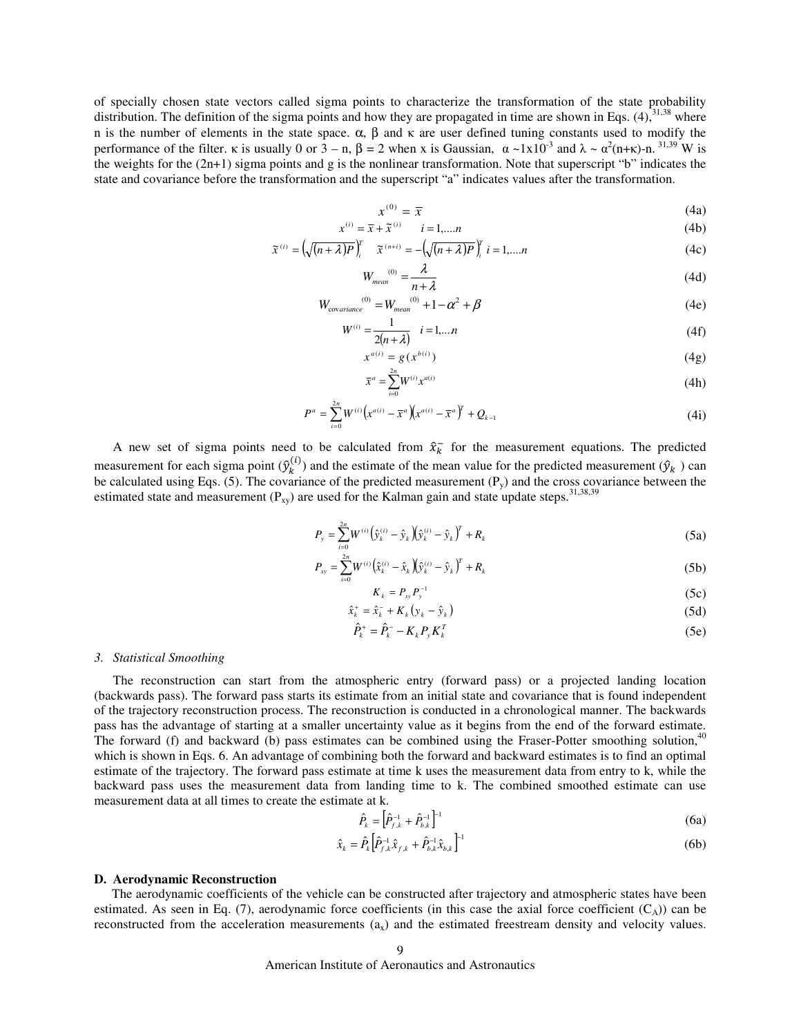of specially chosen state vectors called sigma points to characterize the transformation of the state probability distribution. The definition of the sigma points and how they are propagated in time are shown in Eqs.  $(4)$ ,  $31,38$  where n is the number of elements in the state space.  $\alpha$ , β and κ are user defined tuning constants used to modify the performance of the filter.  $\kappa$  is usually 0 or 3 – n,  $\beta = 2$  when x is Gaussian,  $\alpha \sim 1 \times 10^{-3}$  and  $\lambda \sim \alpha^2(n+\kappa)$ -n.  $^{31,39}$  W is the weights for the  $(2n+1)$  sigma points and g is the nonlinear transformation. Note that superscript "b" indicates the state and covariance before the transformation and the superscript "a" indicates values after the transformation.

$$
x^{(0)} = \overline{x} \tag{4a}
$$

$$
x^{(i)} = \overline{x} + \widetilde{x}^{(i)} \qquad i = 1, \dots n \tag{4b}
$$

$$
\widetilde{x}^{(i)} = \left(\sqrt{(n+\lambda)P}\right)_i^T \quad \widetilde{x}^{(n+i)} = -\left(\sqrt{(n+\lambda)P}\right)_i^T i = 1,...n
$$
\n(4c)

$$
W_{mean}^{(0)} = \frac{\lambda}{n + \lambda} \tag{4d}
$$

$$
W_{\text{covariance}}^{(0)} = W_{\text{mean}}^{(0)} + 1 - \alpha^2 + \beta \tag{4e}
$$

$$
W^{(i)} = \frac{1}{2(n+\lambda)} \quad i = 1,...n
$$
 (4f)

$$
x^{a(i)} = g(x^{b(i)})
$$
 (4g)

$$
\overline{x}^a = \sum_{i=0}^n W^{(i)} x^{a(i)} \tag{4h}
$$

$$
P^{a} = \sum_{i=0}^{2n} W^{(i)} \big( x^{a(i)} - \overline{x}^{a} \big) \big( x^{a(i)} - \overline{x}^{a} \big)^{T} + Q_{k-1}
$$
\n(4i)

A new set of sigma points need to be calculated from  $\hat{x}_k^-$  for the measurement equations. The predicted measurement for each sigma point  $(\hat{y}_k^{(i)})$  and the estimate of the mean value for the predicted measurement  $(\hat{y}_k)$  can be calculated using Eqs. (5). The covariance of the predicted measurement  $(P_y)$  and the cross covariance between the estimated state and measurement  $(P_{xy})$  are used for the Kalman gain and state update steps.<sup>31,38,39</sup>

$$
P_{y} = \sum_{i=0}^{2n} W^{(i)} (\hat{y}_{k}^{(i)} - \hat{y}_{k}) (\hat{y}_{k}^{(i)} - \hat{y}_{k})^{T} + R_{k}
$$
 (5a)

$$
P_{xy} = \sum_{i=0}^{2n} W^{(i)} \left( \hat{x}_k^{(i)} - \hat{x}_k \right) \left( \hat{y}_k^{(i)} - \hat{y}_k \right)^T + R_k \tag{5b}
$$

$$
K_k = P_{xy} P_y^{-1} \tag{5c}
$$

$$
\hat{x}_k^+ = \hat{x}_k^- + K_k \left( y_k - \hat{y}_k \right) \tag{5d}
$$

$$
\hat{P}_k^+ = \hat{P}_k^- - K_k P_y K_k^T \tag{5e}
$$

#### *3. Statistical Smoothing*

The reconstruction can start from the atmospheric entry (forward pass) or a projected landing location (backwards pass). The forward pass starts its estimate from an initial state and covariance that is found independent of the trajectory reconstruction process. The reconstruction is conducted in a chronological manner. The backwards pass has the advantage of starting at a smaller uncertainty value as it begins from the end of the forward estimate. The forward (f) and backward (b) pass estimates can be combined using the Fraser-Potter smoothing solution, $40$ which is shown in Eqs. 6. An advantage of combining both the forward and backward estimates is to find an optimal estimate of the trajectory. The forward pass estimate at time k uses the measurement data from entry to k, while the backward pass uses the measurement data from landing time to k. The combined smoothed estimate can use measurement data at all times to create the estimate at k.

$$
\hat{P}_k = \left[\hat{P}_{f,k}^{-1} + \hat{P}_{b,k}^{-1}\right]^{-1} \tag{6a}
$$

$$
\hat{x}_{k} = \hat{P}_{k} \Big[ \hat{P}_{f,k}^{-1} \hat{x}_{f,k} + \hat{P}_{b,k}^{-1} \hat{x}_{b,k} \Big]^{-1}
$$
\n(6b)

#### **D. Aerodynamic Reconstruction**

The aerodynamic coefficients of the vehicle can be constructed after trajectory and atmospheric states have been estimated. As seen in Eq. (7), aerodynamic force coefficients (in this case the axial force coefficient  $(C_A)$ ) can be reconstructed from the acceleration measurements  $(a_x)$  and the estimated freestream density and velocity values.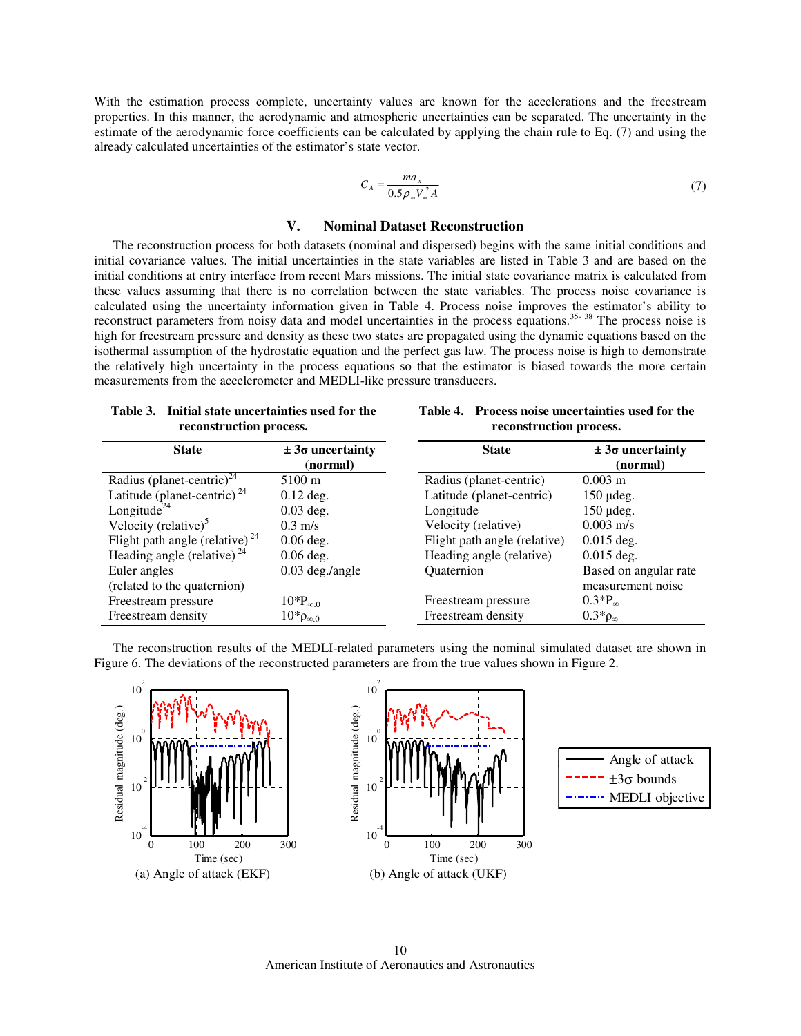With the estimation process complete, uncertainty values are known for the accelerations and the freestream properties. In this manner, the aerodynamic and atmospheric uncertainties can be separated. The uncertainty in the estimate of the aerodynamic force coefficients can be calculated by applying the chain rule to Eq. (7) and using the already calculated uncertainties of the estimator's state vector.

$$
C_A = \frac{ma_x}{0.5\rho_{\infty}V_{\infty}^2A} \tag{7}
$$

# **V. Nominal Dataset Reconstruction**

The reconstruction process for both datasets (nominal and dispersed) begins with the same initial conditions and initial covariance values. The initial uncertainties in the state variables are listed in Table 3 and are based on the initial conditions at entry interface from recent Mars missions. The initial state covariance matrix is calculated from these values assuming that there is no correlation between the state variables. The process noise covariance is calculated using the uncertainty information given in Table 4. Process noise improves the estimator's ability to reconstruct parameters from noisy data and model uncertainties in the process equations.<sup>35-38</sup> The process noise is high for freestream pressure and density as these two states are propagated using the dynamic equations based on the isothermal assumption of the hydrostatic equation and the perfect gas law. The process noise is high to demonstrate the relatively high uncertainty in the process equations so that the estimator is biased towards the more certain measurements from the accelerometer and MEDLI-like pressure transducers.

|                         | Table 3. Initial state uncertainties used for the |  |  |  |  |  |
|-------------------------|---------------------------------------------------|--|--|--|--|--|
| reconstruction process. |                                                   |  |  |  |  |  |

| Table 4. Process noise uncertainties used for the |  |
|---------------------------------------------------|--|
| reconstruction process.                           |  |

| $\pm 3\sigma$ uncertainty<br><b>State</b><br>$\pm 3\sigma$ uncertainty<br><b>State</b><br>(normal)<br>(normal)<br>Radius (planet-centric) <sup>24</sup><br>5100 m<br>Radius (planet-centric)<br>$0.003 \; \mathrm{m}$<br>Latitude (planet-centric) $^{24}$<br>Latitude (planet-centric)<br>$0.12$ deg.<br>$150 \mu$ deg.<br>Longitude <sup><math>24</math></sup><br>$150 \mu$ deg.<br>Longitude<br>$0.03$ deg.<br>Velocity (relative) $5$<br>Velocity (relative)<br>$0.003$ m/s<br>$0.3$ m/s<br>Flight path angle (relative) $24$<br>Flight path angle (relative)<br>$0.015$ deg.<br>$0.06$ deg.<br>Heading angle (relative) $^{24}$<br>Heading angle (relative)<br>$0.015$ deg.<br>$0.06$ deg.<br>Euler angles<br>$0.03$ deg./angle<br>Based on angular rate<br>Quaternion<br>(related to the quaternion)<br>measurement noise<br>$0.3*P_\infty$<br>$10^*P_{\infty,0}$<br>Freestream pressure<br>Freestream pressure |  |  |  |
|-----------------------------------------------------------------------------------------------------------------------------------------------------------------------------------------------------------------------------------------------------------------------------------------------------------------------------------------------------------------------------------------------------------------------------------------------------------------------------------------------------------------------------------------------------------------------------------------------------------------------------------------------------------------------------------------------------------------------------------------------------------------------------------------------------------------------------------------------------------------------------------------------------------------------|--|--|--|
|                                                                                                                                                                                                                                                                                                                                                                                                                                                                                                                                                                                                                                                                                                                                                                                                                                                                                                                       |  |  |  |
|                                                                                                                                                                                                                                                                                                                                                                                                                                                                                                                                                                                                                                                                                                                                                                                                                                                                                                                       |  |  |  |
|                                                                                                                                                                                                                                                                                                                                                                                                                                                                                                                                                                                                                                                                                                                                                                                                                                                                                                                       |  |  |  |
|                                                                                                                                                                                                                                                                                                                                                                                                                                                                                                                                                                                                                                                                                                                                                                                                                                                                                                                       |  |  |  |
|                                                                                                                                                                                                                                                                                                                                                                                                                                                                                                                                                                                                                                                                                                                                                                                                                                                                                                                       |  |  |  |
|                                                                                                                                                                                                                                                                                                                                                                                                                                                                                                                                                                                                                                                                                                                                                                                                                                                                                                                       |  |  |  |
|                                                                                                                                                                                                                                                                                                                                                                                                                                                                                                                                                                                                                                                                                                                                                                                                                                                                                                                       |  |  |  |
|                                                                                                                                                                                                                                                                                                                                                                                                                                                                                                                                                                                                                                                                                                                                                                                                                                                                                                                       |  |  |  |
|                                                                                                                                                                                                                                                                                                                                                                                                                                                                                                                                                                                                                                                                                                                                                                                                                                                                                                                       |  |  |  |
|                                                                                                                                                                                                                                                                                                                                                                                                                                                                                                                                                                                                                                                                                                                                                                                                                                                                                                                       |  |  |  |
| Freestream density<br>Freestream density<br>$0.3*_p\rho_\infty$<br>$10^* \rho_{\infty,0}$                                                                                                                                                                                                                                                                                                                                                                                                                                                                                                                                                                                                                                                                                                                                                                                                                             |  |  |  |

 The reconstruction results of the MEDLI-related parameters using the nominal simulated dataset are shown in Figure 6. The deviations of the reconstructed parameters are from the true values shown in Figure 2.





American Institute of Aeronautics and Astronautics 10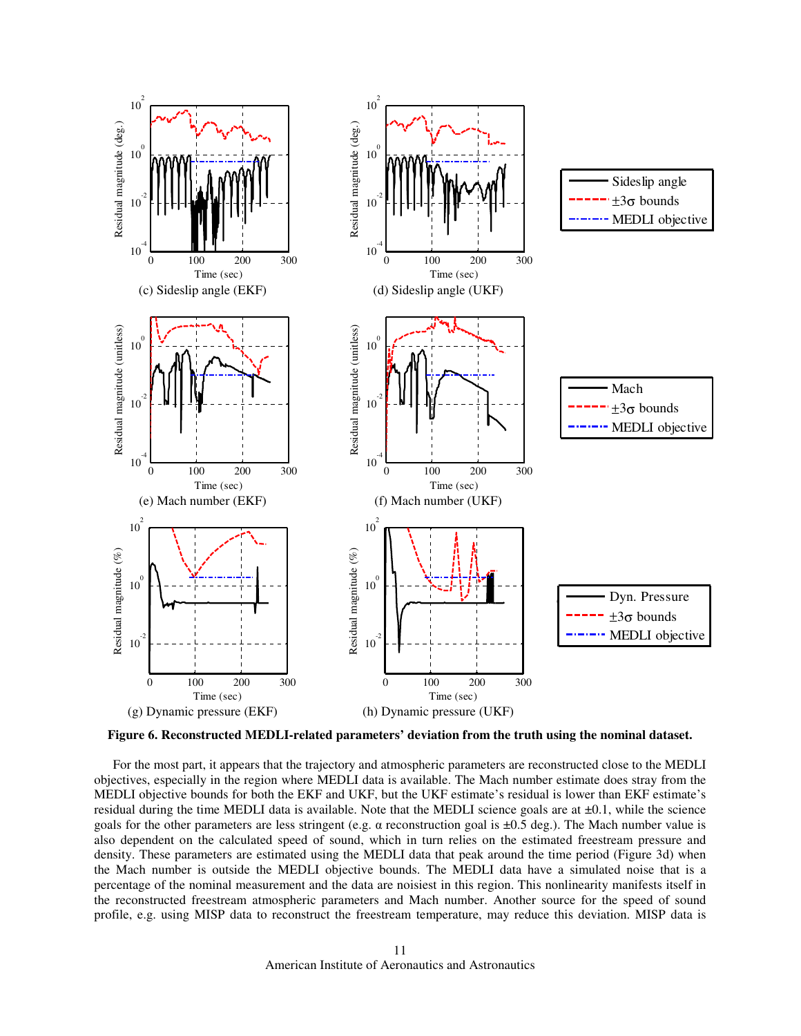

**Figure 6. Reconstructed MEDLI-related parameters' deviation from the truth using the nominal dataset.** 

For the most part, it appears that the trajectory and atmospheric parameters are reconstructed close to the MEDLI objectives, especially in the region where MEDLI data is available. The Mach number estimate does stray from the MEDLI objective bounds for both the EKF and UKF, but the UKF estimate's residual is lower than EKF estimate's residual during the time MEDLI data is available. Note that the MEDLI science goals are at  $\pm 0.1$ , while the science goals for the other parameters are less stringent (e.g. α reconstruction goal is ±0.5 deg.). The Mach number value is also dependent on the calculated speed of sound, which in turn relies on the estimated freestream pressure and density. These parameters are estimated using the MEDLI data that peak around the time period (Figure 3d) when the Mach number is outside the MEDLI objective bounds. The MEDLI data have a simulated noise that is a percentage of the nominal measurement and the data are noisiest in this region. This nonlinearity manifests itself in the reconstructed freestream atmospheric parameters and Mach number. Another source for the speed of sound profile, e.g. using MISP data to reconstruct the freestream temperature, may reduce this deviation. MISP data is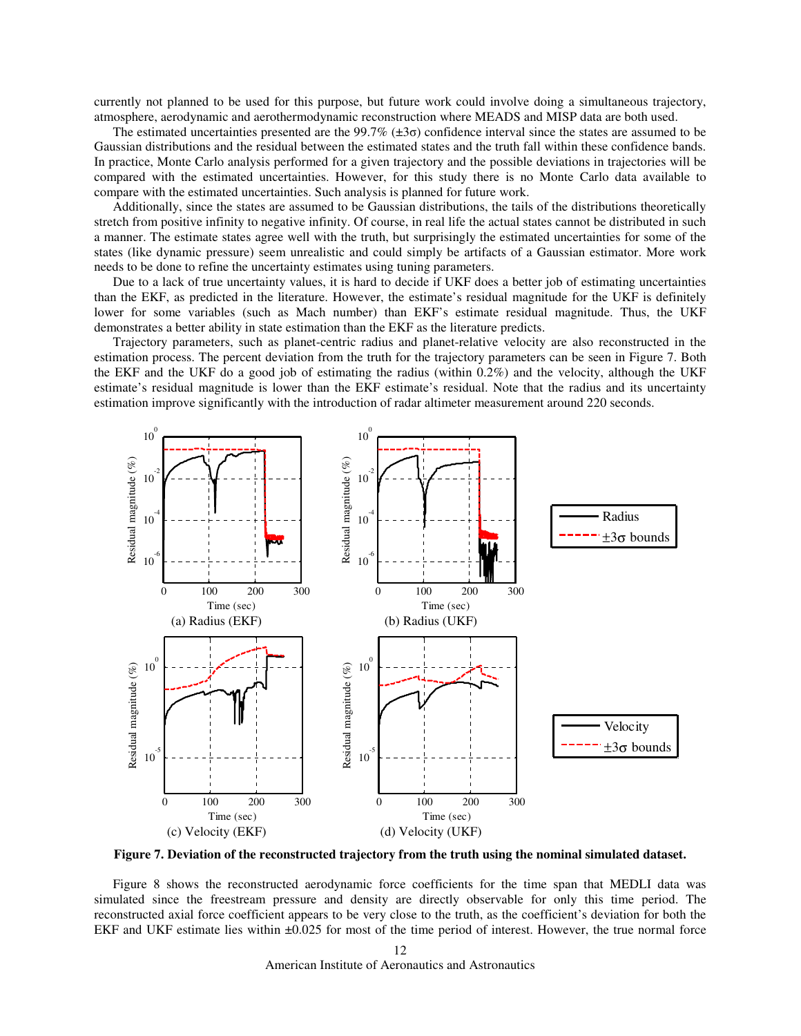currently not planned to be used for this purpose, but future work could involve doing a simultaneous trajectory, atmosphere, aerodynamic and aerothermodynamic reconstruction where MEADS and MISP data are both used.

The estimated uncertainties presented are the 99.7% ( $\pm 3\sigma$ ) confidence interval since the states are assumed to be Gaussian distributions and the residual between the estimated states and the truth fall within these confidence bands. In practice, Monte Carlo analysis performed for a given trajectory and the possible deviations in trajectories will be compared with the estimated uncertainties. However, for this study there is no Monte Carlo data available to compare with the estimated uncertainties. Such analysis is planned for future work.

 Additionally, since the states are assumed to be Gaussian distributions, the tails of the distributions theoretically stretch from positive infinity to negative infinity. Of course, in real life the actual states cannot be distributed in such a manner. The estimate states agree well with the truth, but surprisingly the estimated uncertainties for some of the states (like dynamic pressure) seem unrealistic and could simply be artifacts of a Gaussian estimator. More work needs to be done to refine the uncertainty estimates using tuning parameters.

 Due to a lack of true uncertainty values, it is hard to decide if UKF does a better job of estimating uncertainties than the EKF, as predicted in the literature. However, the estimate's residual magnitude for the UKF is definitely lower for some variables (such as Mach number) than EKF's estimate residual magnitude. Thus, the UKF demonstrates a better ability in state estimation than the EKF as the literature predicts.

 Trajectory parameters, such as planet-centric radius and planet-relative velocity are also reconstructed in the estimation process. The percent deviation from the truth for the trajectory parameters can be seen in Figure 7. Both the EKF and the UKF do a good job of estimating the radius (within 0.2%) and the velocity, although the UKF estimate's residual magnitude is lower than the EKF estimate's residual. Note that the radius and its uncertainty estimation improve significantly with the introduction of radar altimeter measurement around 220 seconds.



**Figure 7. Deviation of the reconstructed trajectory from the truth using the nominal simulated dataset.** 

 Figure 8 shows the reconstructed aerodynamic force coefficients for the time span that MEDLI data was simulated since the freestream pressure and density are directly observable for only this time period. The reconstructed axial force coefficient appears to be very close to the truth, as the coefficient's deviation for both the EKF and UKF estimate lies within ±0.025 for most of the time period of interest. However, the true normal force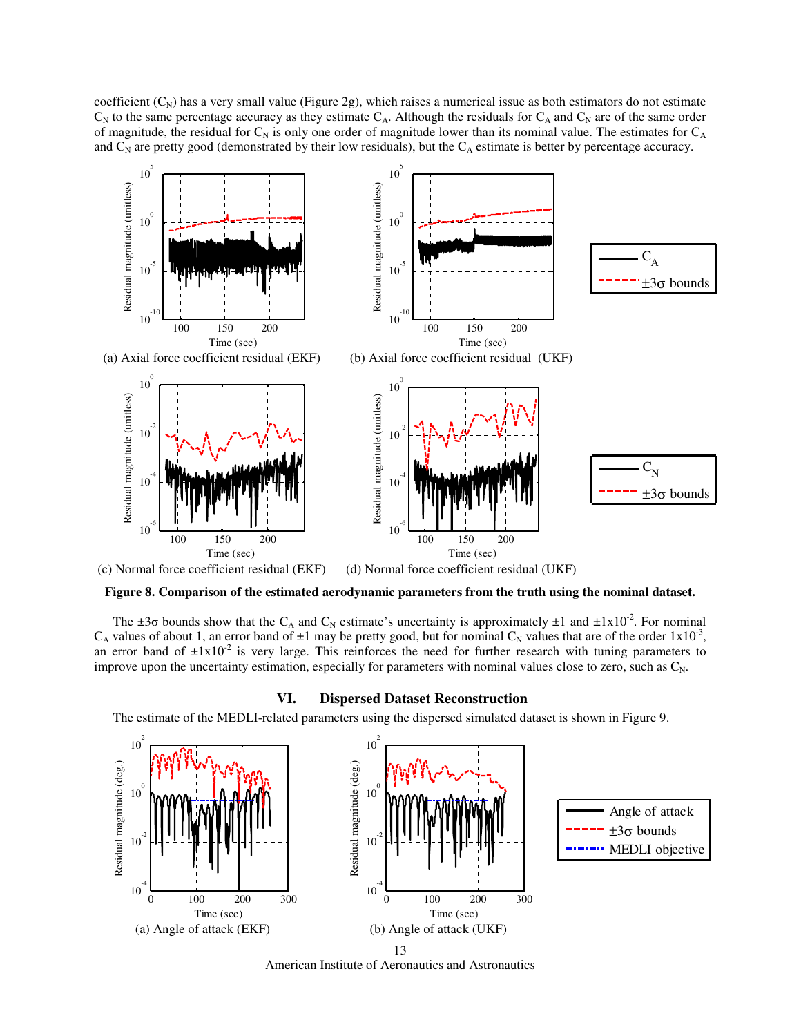coefficient  $(C_N)$  has a very small value (Figure 2g), which raises a numerical issue as both estimators do not estimate  $C_N$  to the same percentage accuracy as they estimate  $C_A$ . Although the residuals for  $C_A$  and  $C_N$  are of the same order of magnitude, the residual for  $C_N$  is only one order of magnitude lower than its nominal value. The estimates for  $C_A$ and  $C_N$  are pretty good (demonstrated by their low residuals), but the  $C_A$  estimate is better by percentage accuracy.



**Figure 8. Comparison of the estimated aerodynamic parameters from the truth using the nominal dataset.**

The  $\pm 3\sigma$  bounds show that the C<sub>A</sub> and C<sub>N</sub> estimate's uncertainty is approximately  $\pm 1$  and  $\pm 1x10^{-2}$ . For nominal  $C_A$  values of about 1, an error band of  $\pm 1$  may be pretty good, but for nominal  $C_N$  values that are of the order  $1x10^{-3}$ , an error band of  $\pm 1x10^{-2}$  is very large. This reinforces the need for further research with tuning parameters to improve upon the uncertainty estimation, especially for parameters with nominal values close to zero, such as  $C_N$ .



American Institute of Aeronautics and Astronautics

# **VI. Dispersed Dataset Reconstruction**

The estimate of the MEDLI-related parameters using the dispersed simulated dataset is shown in Figure 9.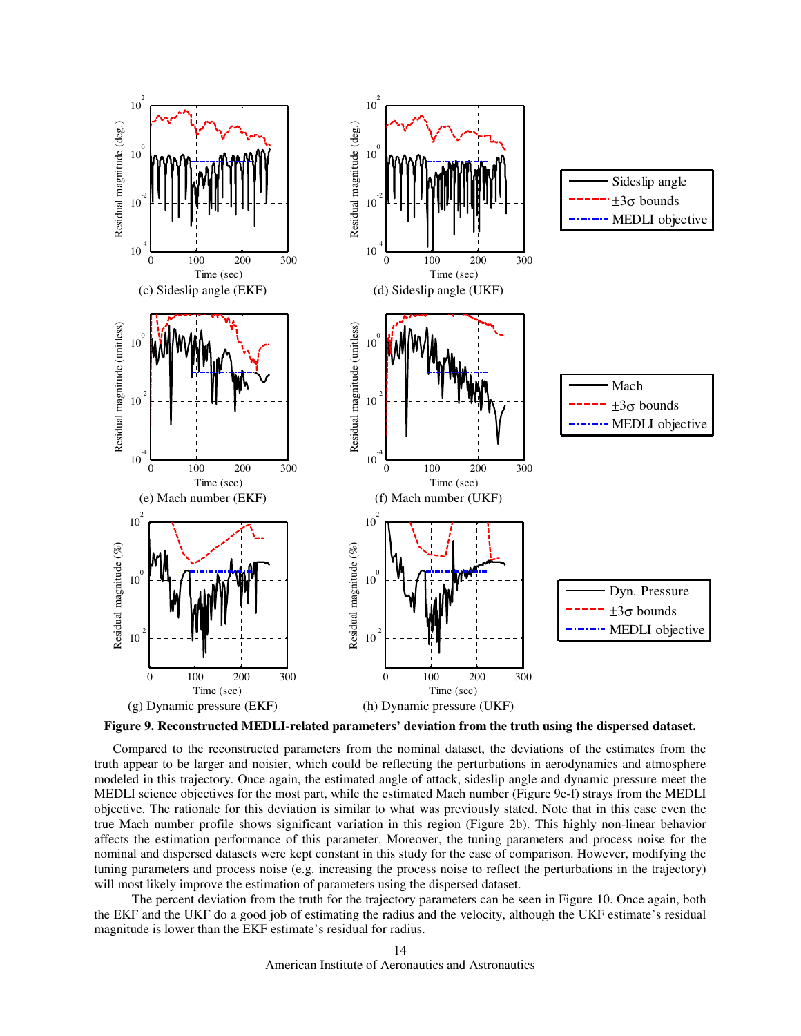

**Figure 9. Reconstructed MEDLI-related parameters' deviation from the truth using the dispersed dataset.** 

 Compared to the reconstructed parameters from the nominal dataset, the deviations of the estimates from the truth appear to be larger and noisier, which could be reflecting the perturbations in aerodynamics and atmosphere modeled in this trajectory. Once again, the estimated angle of attack, sideslip angle and dynamic pressure meet the MEDLI science objectives for the most part, while the estimated Mach number (Figure 9e-f) strays from the MEDLI objective. The rationale for this deviation is similar to what was previously stated. Note that in this case even the true Mach number profile shows significant variation in this region (Figure 2b). This highly non-linear behavior affects the estimation performance of this parameter. Moreover, the tuning parameters and process noise for the nominal and dispersed datasets were kept constant in this study for the ease of comparison. However, modifying the tuning parameters and process noise (e.g. increasing the process noise to reflect the perturbations in the trajectory) will most likely improve the estimation of parameters using the dispersed dataset.

 The percent deviation from the truth for the trajectory parameters can be seen in Figure 10. Once again, both the EKF and the UKF do a good job of estimating the radius and the velocity, although the UKF estimate's residual magnitude is lower than the EKF estimate's residual for radius.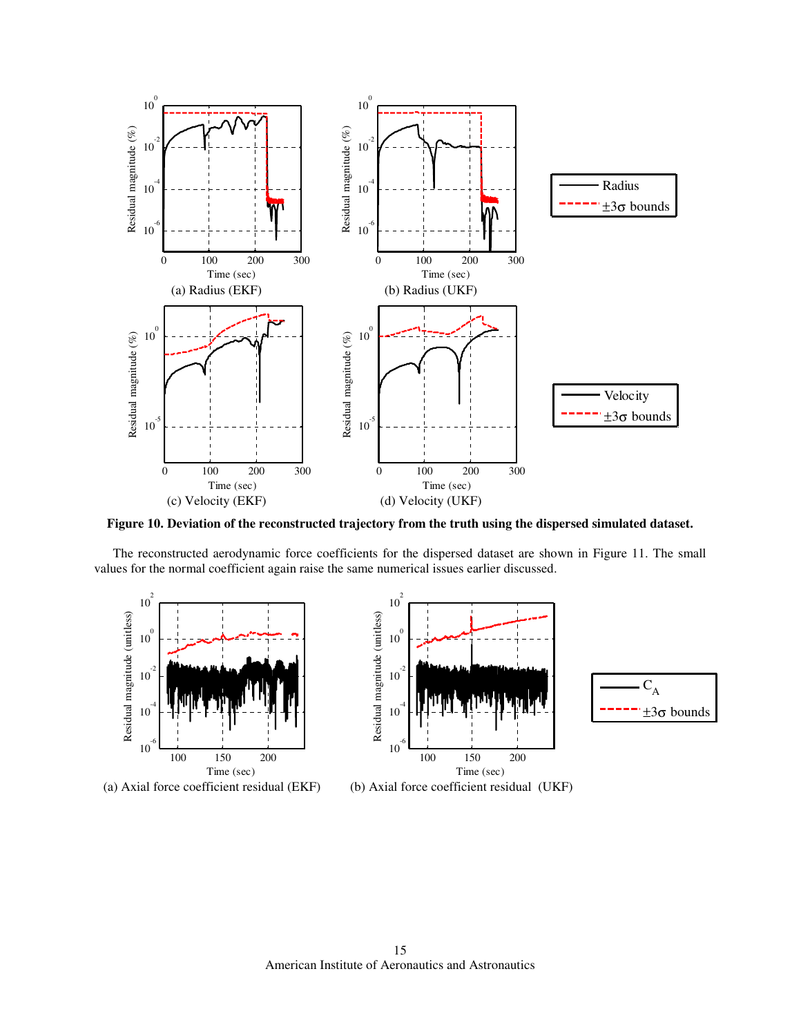

**Figure 10. Deviation of the reconstructed trajectory from the truth using the dispersed simulated dataset.** 

The reconstructed aerodynamic force coefficients for the dispersed dataset are shown in Figure 11. The small values for the normal coefficient again raise the same numerical issues earlier discussed.







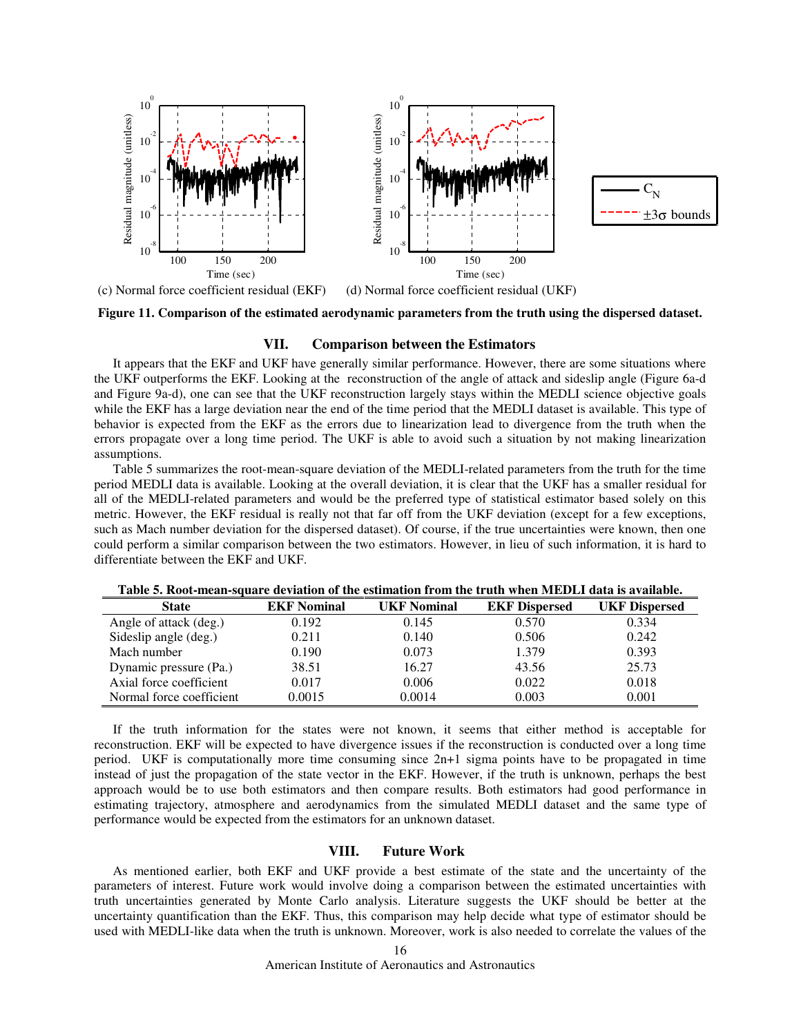

**Figure 11. Comparison of the estimated aerodynamic parameters from the truth using the dispersed dataset.** 

# **VII. Comparison between the Estimators**

It appears that the EKF and UKF have generally similar performance. However, there are some situations where the UKF outperforms the EKF. Looking at the reconstruction of the angle of attack and sideslip angle (Figure 6a-d and Figure 9a-d), one can see that the UKF reconstruction largely stays within the MEDLI science objective goals while the EKF has a large deviation near the end of the time period that the MEDLI dataset is available. This type of behavior is expected from the EKF as the errors due to linearization lead to divergence from the truth when the errors propagate over a long time period. The UKF is able to avoid such a situation by not making linearization assumptions.

Table 5 summarizes the root-mean-square deviation of the MEDLI-related parameters from the truth for the time period MEDLI data is available. Looking at the overall deviation, it is clear that the UKF has a smaller residual for all of the MEDLI-related parameters and would be the preferred type of statistical estimator based solely on this metric. However, the EKF residual is really not that far off from the UKF deviation (except for a few exceptions, such as Mach number deviation for the dispersed dataset). Of course, if the true uncertainties were known, then one could perform a similar comparison between the two estimators. However, in lieu of such information, it is hard to differentiate between the EKF and UKF.

| <b>State</b>             | <b>EKF Nominal</b> | <b>UKF Nominal</b> | <b>EKF Dispersed</b> | <b>UKF Dispersed</b> |  |
|--------------------------|--------------------|--------------------|----------------------|----------------------|--|
| Angle of attack (deg.)   | 0.192              | 0.145              | 0.570                | 0.334                |  |
| Sideslip angle (deg.)    | 0.211              | 0.140              | 0.506                | 0.242                |  |
| Mach number              | 0.190              | 0.073              | 1.379                | 0.393                |  |
| Dynamic pressure (Pa.)   | 38.51              | 16.27              | 43.56                | 25.73                |  |
| Axial force coefficient  | 0.017              | 0.006              | 0.022                | 0.018                |  |
| Normal force coefficient | 0.0015             | 0.0014             | 0.003                | 0.001                |  |

**Table 5. Root-mean-square deviation of the estimation from the truth when MEDLI data is available.** 

If the truth information for the states were not known, it seems that either method is acceptable for reconstruction. EKF will be expected to have divergence issues if the reconstruction is conducted over a long time period. UKF is computationally more time consuming since 2n+1 sigma points have to be propagated in time instead of just the propagation of the state vector in the EKF. However, if the truth is unknown, perhaps the best approach would be to use both estimators and then compare results. Both estimators had good performance in estimating trajectory, atmosphere and aerodynamics from the simulated MEDLI dataset and the same type of performance would be expected from the estimators for an unknown dataset.

#### **VIII. Future Work**

As mentioned earlier, both EKF and UKF provide a best estimate of the state and the uncertainty of the parameters of interest. Future work would involve doing a comparison between the estimated uncertainties with truth uncertainties generated by Monte Carlo analysis. Literature suggests the UKF should be better at the uncertainty quantification than the EKF. Thus, this comparison may help decide what type of estimator should be used with MEDLI-like data when the truth is unknown. Moreover, work is also needed to correlate the values of the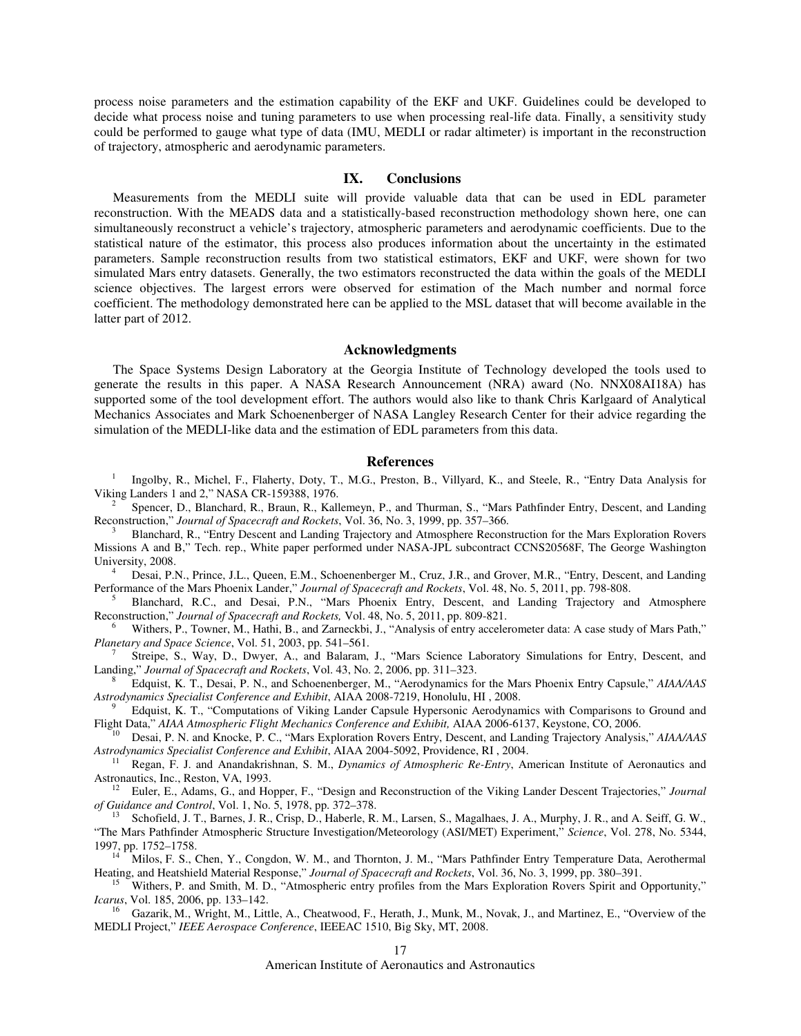process noise parameters and the estimation capability of the EKF and UKF. Guidelines could be developed to decide what process noise and tuning parameters to use when processing real-life data. Finally, a sensitivity study could be performed to gauge what type of data (IMU, MEDLI or radar altimeter) is important in the reconstruction of trajectory, atmospheric and aerodynamic parameters.

#### **IX. Conclusions**

Measurements from the MEDLI suite will provide valuable data that can be used in EDL parameter reconstruction. With the MEADS data and a statistically-based reconstruction methodology shown here, one can simultaneously reconstruct a vehicle's trajectory, atmospheric parameters and aerodynamic coefficients. Due to the statistical nature of the estimator, this process also produces information about the uncertainty in the estimated parameters. Sample reconstruction results from two statistical estimators, EKF and UKF, were shown for two simulated Mars entry datasets. Generally, the two estimators reconstructed the data within the goals of the MEDLI science objectives. The largest errors were observed for estimation of the Mach number and normal force coefficient. The methodology demonstrated here can be applied to the MSL dataset that will become available in the latter part of 2012.

## **Acknowledgments**

The Space Systems Design Laboratory at the Georgia Institute of Technology developed the tools used to generate the results in this paper. A NASA Research Announcement (NRA) award (No. NNX08AI18A) has supported some of the tool development effort. The authors would also like to thank Chris Karlgaard of Analytical Mechanics Associates and Mark Schoenenberger of NASA Langley Research Center for their advice regarding the simulation of the MEDLI-like data and the estimation of EDL parameters from this data.

#### **References**

1 Ingolby, R., Michel, F., Flaherty, Doty, T., M.G., Preston, B., Villyard, K., and Steele, R., "Entry Data Analysis for Viking Landers 1 and 2," NASA CR-159388, 1976.

2 Spencer, D., Blanchard, R., Braun, R., Kallemeyn, P., and Thurman, S., "Mars Pathfinder Entry, Descent, and Landing Reconstruction," *Journal of Spacecraft and Rockets*, Vol. 36, No. 3, 1999, pp. 357–366.

<sup>3</sup> Blanchard, R., "Entry Descent and Landing Trajectory and Atmosphere Reconstruction for the Mars Exploration Rovers Missions A and B," Tech. rep., White paper performed under NASA-JPL subcontract CCNS20568F, The George Washington University, 2008.

Desai, P.N., Prince, J.L., Queen, E.M., Schoenenberger M., Cruz, J.R., and Grover, M.R., "Entry, Descent, and Landing Performance of the Mars Phoenix Lander," *Journal of Spacecraft and Rockets*, Vol. 48, No. 5, 2011, pp. 798-808.

<sup>5</sup> Blanchard, R.C., and Desai, P.N., "Mars Phoenix Entry, Descent, and Landing Trajectory and Atmosphere Reconstruction," *Journal of Spacecraft and Rockets,* Vol. 48, No. 5, 2011, pp. 809-821.

<sup>6</sup> Withers, P., Towner, M., Hathi, B., and Zarneckbi, J., "Analysis of entry accelerometer data: A case study of Mars Path," *Planetary and Space Science*, Vol. 51, 2003, pp. 541–561.

7 Streipe, S., Way, D., Dwyer, A., and Balaram, J., "Mars Science Laboratory Simulations for Entry, Descent, and Landing," *Journal of Spacecraft and Rockets*, Vol. 43, No. 2, 2006, pp. 311–323.

<sup>8</sup> Edquist, K. T., Desai, P. N., and Schoenenberger, M., "Aerodynamics for the Mars Phoenix Entry Capsule," *AIAA/AAS Astrodynamics Specialist Conference and Exhibit*, AIAA 2008-7219, Honolulu, HI , 2008.

<sup>9</sup> Edquist, K. T., "Computations of Viking Lander Capsule Hypersonic Aerodynamics with Comparisons to Ground and Flight Data," *AIAA Atmospheric Flight Mechanics Conference and Exhibit,* AIAA 2006-6137, Keystone, CO, 2006.

<sup>10</sup> Desai, P. N. and Knocke, P. C., "Mars Exploration Rovers Entry, Descent, and Landing Trajectory Analysis," *AIAA/AAS Astrodynamics Specialist Conference and Exhibit*, AIAA 2004-5092, Providence, RI , 2004.

<sup>11</sup> Regan, F. J. and Anandakrishnan, S. M., *Dynamics of Atmospheric Re-Entry*, American Institute of Aeronautics and Astronautics, Inc., Reston, VA, 1993.

<sup>12</sup> Euler, E., Adams, G., and Hopper, F., "Design and Reconstruction of the Viking Lander Descent Trajectories," *Journal of Guidance and Control*, Vol. 1, No. 5, 1978, pp. 372–378.

<sup>13</sup> Schofield, J. T., Barnes, J. R., Crisp, D., Haberle, R. M., Larsen, S., Magalhaes, J. A., Murphy, J. R., and A. Seiff, G. W., "The Mars Pathfinder Atmospheric Structure Investigation/Meteorology (ASI/MET) Experiment," *Science*, Vol. 278, No. 5344, 1997, pp. 1752–1758.

<sup>14</sup> Milos, F. S., Chen, Y., Congdon, W. M., and Thornton, J. M., "Mars Pathfinder Entry Temperature Data, Aerothermal Heating, and Heatshield Material Response," *Journal of Spacecraft and Rockets*, Vol. 36, No. 3, 1999, pp. 380–391.

<sup>15</sup> Withers, P. and Smith, M. D., "Atmospheric entry profiles from the Mars Exploration Rovers Spirit and Opportunity," *Icarus*, Vol. 185, 2006, pp. 133–142.

<sup>16</sup> Gazarik, M., Wright, M., Little, A., Cheatwood, F., Herath, J., Munk, M., Novak, J., and Martinez, E., "Overview of the MEDLI Project," *IEEE Aerospace Conference*, IEEEAC 1510, Big Sky, MT, 2008.